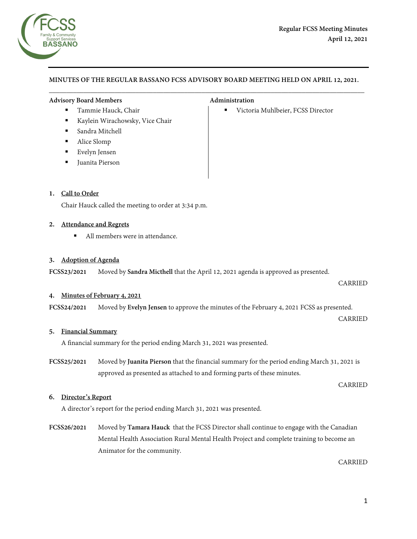

## **MINUTES OF THE REGULAR BASSANO FCSS ADVISORY BOARD MEETING HELD ON APRIL 12, 2021.**  $\overline{\phantom{a}}$  , and the contribution of the contribution of the contribution of the contribution of the contribution of the contribution of the contribution of the contribution of the contribution of the contribution of the

#### Advisory Board Members **Administration**

- Tammie Hauck, Chair **Victoria Muhlbeier**, FCSS Director
- Kaylein Wirachowsky, Vice Chair
- Sandra Mitchell
- Alice Slomp
- Evelyn Jensen
- Juanita Pierson

#### **1. Call to Order**

Chair Hauck called the meeting to order at 3:34 p.m.

#### **2. Attendance and Regrets**

■ All members were in attendance.

#### **3. Adoption of Agenda**

**FCSS23/2021** Moved by **Sandra Micthell** that the April 12, 2021 agenda is approved as presented.

CARRIED

#### **4. Minutes of February 4, 2021**

**FCSS24/2021** Moved by **Evelyn Jensen** to approve the minutes of the February 4, 2021 FCSS as presented.

CARRIED

#### **5. Financial Summary**

A financial summary for the period ending March 31, 2021 was presented.

**FCSS25/2021** Moved by **Juanita Pierson** that the financial summary for the period ending March 31, 2021 is approved as presented as attached to and forming parts of these minutes.

CARRIED

#### **6. Director's Report**

A director's report for the period ending March 31, 2021 was presented.

**FCSS26/2021** Moved by **Tamara Hauck** that the FCSS Director shall continue to engage with the Canadian Mental Health Association Rural Mental Health Project and complete training to become an Animator for the community.

CARRIED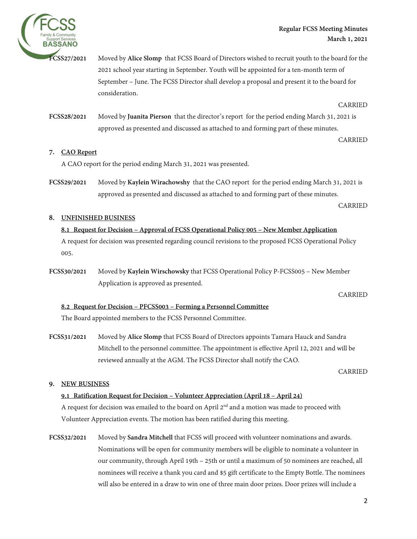



**FCSS27/2021** Moved by **Alice Slomp** that FCSS Board of Directors wished to recruit youth to the board for the 2021 school year starting in September. Youth will be appointed for a ten-month term of September – June. The FCSS Director shall develop a proposal and present it to the board for consideration.

CARRIED

**FCSS28/2021** Moved by **Juanita Pierson** that the director's report for the period ending March 31, 2021 is approved as presented and discussed as attached to and forming part of these minutes.

CARRIED

## **7. CAO Report**

A CAO report for the period ending March 31, 2021 was presented.

**FCSS29/2021** Moved by **Kaylein Wirachowshy** that the CAO report for the period ending March 31, 2021 is approved as presented and discussed as attached to and forming part of these minutes.

CARRIED

## **8. UNFINISHED BUSINESS**

# **8.1 Request for Decision – Approval of FCSS Operational Policy 005 – New Member Application**  A request for decision was presented regarding council revisions to the proposed FCSS Operational Policy 005.

**FCSS30/2021** Moved by **Kaylein Wirschowsky** that FCSS Operational Policy P-FCSS005 – New Member Application is approved as presented.

CARRIED

## **8.2 Request for Decision – PFCSS003 – Forming a Personnel Committee**

The Board appointed members to the FCSS Personnel Committee.

**FCSS31/2021** Moved by **Alice Slomp** that FCSS Board of Directors appoints Tamara Hauck and Sandra Mitchell to the personnel committee. The appointment is effective April 12, 2021 and will be reviewed annually at the AGM. The FCSS Director shall notify the CAO.

CARRIED

#### **9. NEW BUSINESS**

#### **9.1 Ratification Request for Decision – Volunteer Appreciation (April 18 – April 24)**

A request for decision was emailed to the board on April  $2<sup>nd</sup>$  and a motion was made to proceed with Volunteer Appreciation events. The motion has been ratified during this meeting.

**FCSS32/2021** Moved by **Sandra Mitchell** that FCSS will proceed with volunteer nominations and awards. Nominations will be open for community members will be eligible to nominate a volunteer in our community, through April 19th – 25th or until a maximum of 50 nominees are reached, all nominees will receive a thank you card and \$5 gift certificate to the Empty Bottle. The nominees will also be entered in a draw to win one of three main door prizes. Door prizes will include a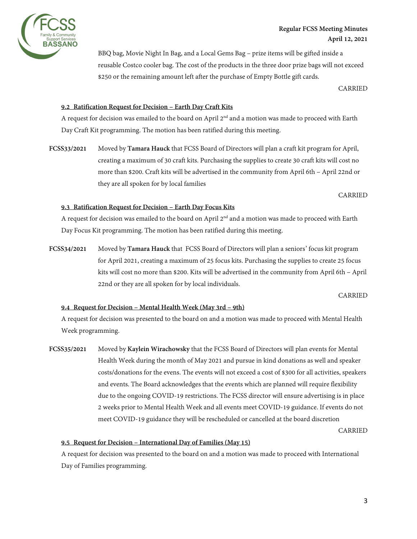

BBQ bag, Movie Night In Bag, and a Local Gems Bag – prize items will be gifted inside a reusable Costco cooler bag. The cost of the products in the three door prize bags will not exceed \$250 or the remaining amount left after the purchase of Empty Bottle gift cards.

CARRIED

#### **9.2 Ratification Request for Decision – Earth Day Craft Kits**

A request for decision was emailed to the board on April  $2<sup>nd</sup>$  and a motion was made to proceed with Earth Day Craft Kit programming. The motion has been ratified during this meeting.

**FCSS33/2021** Moved by **Tamara Hauck** that FCSS Board of Directors will plan a craft kit program for April, creating a maximum of 30 craft kits. Purchasing the supplies to create 30 craft kits will cost no more than \$200. Craft kits will be advertised in the community from April 6th – April 22nd or they are all spoken for by local families

#### CARRIED

#### **9.3 Ratification Request for Decision – Earth Day Focus Kits**

A request for decision was emailed to the board on April  $2<sup>nd</sup>$  and a motion was made to proceed with Earth Day Focus Kit programming. The motion has been ratified during this meeting.

**FCSS34/2021** Moved by **Tamara Hauck** that FCSS Board of Directors will plan a seniors' focus kit program for April 2021, creating a maximum of 25 focus kits. Purchasing the supplies to create 25 focus kits will cost no more than \$200. Kits will be advertised in the community from April 6th – April 22nd or they are all spoken for by local individuals.

CARRIED

#### **9.4 Request for Decision – Mental Health Week (May 3rd – 9th)**

A request for decision was presented to the board on and a motion was made to proceed with Mental Health Week programming.

**FCSS35/2021** Moved by **Kaylein Wirachowsky** that the FCSS Board of Directors will plan events for Mental Health Week during the month of May 2021 and pursue in kind donations as well and speaker costs/donations for the evens. The events will not exceed a cost of \$300 for all activities, speakers and events. The Board acknowledges that the events which are planned will require flexibility due to the ongoing COVID-19 restrictions. The FCSS director will ensure advertising is in place 2 weeks prior to Mental Health Week and all events meet COVID-19 guidance. If events do not meet COVID-19 guidance they will be rescheduled or cancelled at the board discretion

CARRIED

#### **9.5 Request for Decision – International Day of Families (May 15)**

A request for decision was presented to the board on and a motion was made to proceed with International Day of Families programming.